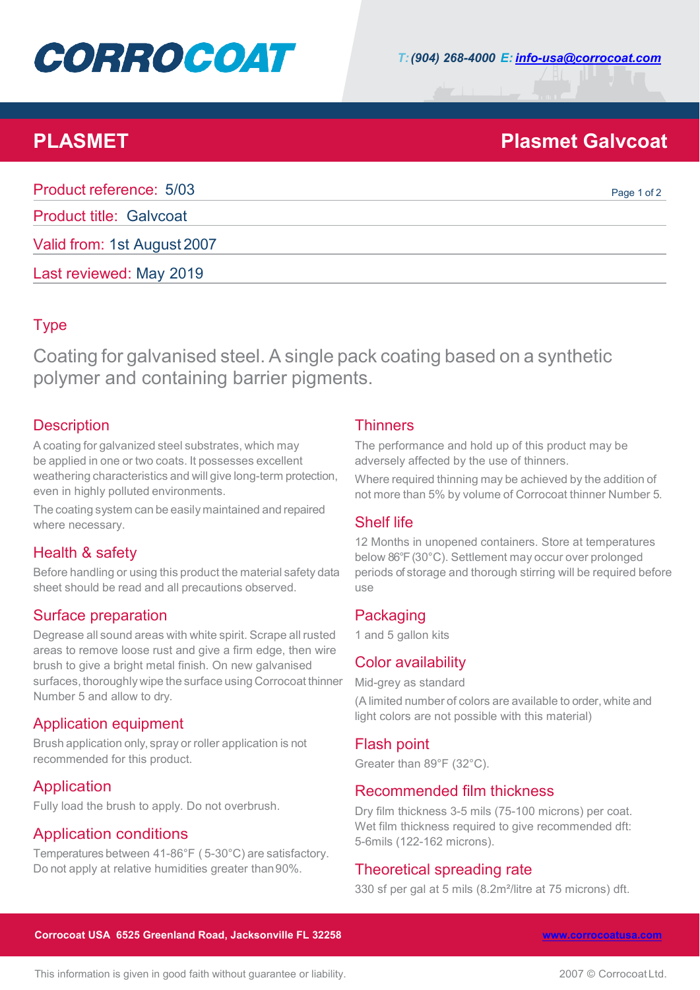# **CORROCOAT**

## **PLASMET Plasmet Galvcoat**

| Product reference: 5/03        | Page 1 of 2 |
|--------------------------------|-------------|
| <b>Product title: Galvcoat</b> |             |
| Valid from: 1st August 2007    |             |
| Last reviewed: May 2019        |             |

### Type

Coating for galvanised steel. A single pack coating based on a synthetic polymer and containing barrier pigments.

### **Description**

A coating for galvanized steel substrates, which may be applied in one or two coats. It possesses excellent weathering characteristics and will give long-term protection, even in highly polluted environments.

The coating system can be easily maintained and repaired where necessary.

#### Health & safety

Before handling or using this product the material safety data sheet should be read and all precautions observed.

#### Surface preparation

Degrease all sound areas with white spirit. Scrape all rusted areas to remove loose rust and give a firm edge, then wire brush to give a bright metal finish. On new galvanised surfaces, thoroughly wipe the surface using Corrocoat thinner Number 5 and allow to dry.

#### Application equipment

Brush application only, spray or roller application is not recommended for this product.

#### Application

Fully load the brush to apply. Do not overbrush.

#### Application conditions

Temperatures between 41-86°F ( 5-30°C) are satisfactory. Do not apply at relative humidities greater than90%.

#### **Thinners**

The performance and hold up of this product may be adversely affected by the use of thinners.

Where required thinning may be achieved by the addition of not more than 5% by volume of Corrocoat thinner Number 5.

#### Shelf life

12 Months in unopened containers. Store at temperatures below 86°F (30°C). Settlement may occur over prolonged periods of storage and thorough stirring will be required before use

#### **Packaging**

1 and 5 gallon kits

#### Color availability

Mid-grey as standard

(A limited number of colors are available to order, white and light colors are not possible with this material)

#### Flash point

Greater than 89°F (32°C).

#### Recommended film thickness

Dry film thickness 3-5 mils (75-100 microns) per coat. Wet film thickness required to give recommended dft: 5-6mils (122-162 microns).

#### Theoretical spreading rate

330 sf per gal at 5 mils (8.2m²/litre at 75 microns) dft.